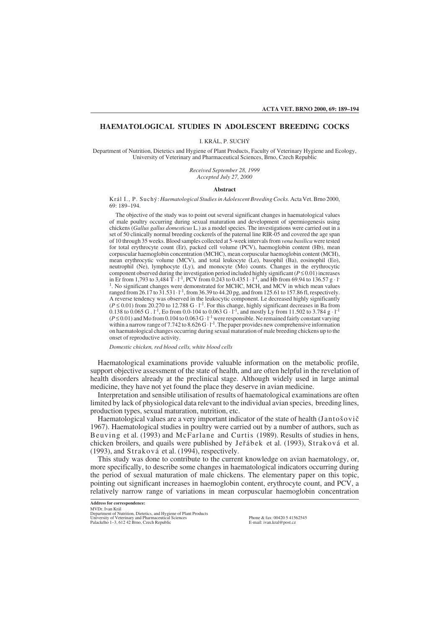# **HAEMATOLOGICAL STUDIES IN ADOLESCENT BREEDING COCKS**

I. KRÁL, P. SUCHÝ

Department of Nutrition, Dietetics and Hygiene of Plant Products, Faculty of Veterinary Hygiene and Ecology, University of Veterinary and Pharmaceutical Sciences, Brno, Czech Republic

> *Received September 28, 1999 Accepted July 27, 2000*

### **Abstract**

Král I., P. Suchý: *Haematological Studies in Adolescent Breeding Cocks.* Acta Vet. Brno 2000, 69: 189–194.

The objective of the study was to point out several significant changes in haematological values of male poultry occurring during sexual maturation and development of spermiogenesis using chickens (*Gallus gallus domesticus* L.) as a model species. The investigations were carried out in a set of 50 clinically normal breeding cockerels of the paternal line RIR-05 and covered the age span of 10 through 35 weeks. Blood samples collected at 5-week intervals from *vena basilica* were tested for total erythrocyte count (Er), packed cell volume (PCV), haemoglobin content (Hb), mean corpuscular haemoglobin concentration (MCHC), mean corpuscular haemoglobin content (MCH), mean erythrocytic volume (MCV), and total leukocyte (Le), basophil (Ba), eosinophil (Eo), neutrophil (Ne), lymphocyte (Ly), and monocyte (Mo) counts. Changes in the erythrocytic component observed during the investigation period included highly significant ( $P \le 0.01$ ) increases in Er from 1,793 to 3,484 T ⋅ 1<sup>-1</sup>, PCV from 0.243 to 0.435 1⋅ 1<sup>-1</sup>, and Hb from 69.94 to 136.57 g ⋅ 1<sup>-</sup> <sup>1</sup>. No significant changes were demonstrated for MCHC, MCH, and MCV in which mean values ranged from 26.17 to 31.53 l ⋅ l<sup>-1</sup>, from 36.39 to 44.20 pg, and from 125.61 to 157.86 fl, respectively. A reverse tendency was observed in the leukocytic component. Le decreased highly significantly  $(P \le 0.01)$  from 20.270 to 12.788 G · 1<sup>-1</sup>. For this change, highly significant decreases in Ba from 0.138 to 0.065 G .  $1^{-1}$ , Eo from 0.0-104 to 0.063 G  $\cdot$  1<sup>-1</sup>, and mostly Ly from 11.502 to 3.784 g  $\cdot$  1<sup>-1</sup>  $(P \le 0.01)$  and Mo from 0.104 to 0.063 G · l<sup>-1</sup> were responsible. Ne remained fairly constant varying within a narrow range of 7.742 to  $8.626$  G  $\cdot$  l<sup>-1</sup>. The paper provides new comprehensive information on haematological changes occurring during sexual maturation of male breeding chickens up to the onset of reproductive activity.

*Domestic chicken, red blood cells, white blood cells*

Haematological examinations provide valuable information on the metabolic profile, support objective assessment of the state of health, and are often helpful in the revelation of health disorders already at the preclinical stage. Although widely used in large animal medicine, they have not yet found the place they deserve in avian medicine.

Interpretation and sensible utilisation of results of haematological examinations are often limited by lack of physiological data relevant to the individual avian species, breeding lines, production types, sexual maturation, nutrition, etc.

Haematological values are a very important indicator of the state of health (Jantošovič 1967). Haematological studies in poultry were carried out by a number of authors, such as Beuving et al. (1993) and McFarlane and Curtis (1989). Results of studies in hens, chicken broilers, and quails were published by Jefiábek et al. (1993), Straková et al. (1993), and Straková et al. (1994), respectively.

This study was done to contribute to the current knowledge on avian haematology, or, more specifically, to describe some changes in haematological indicators occurring during the period of sexual maturation of male chickens. The elementary paper on this topic, pointing out significant increases in haemoglobin content, erythrocyte count, and PCV, a relatively narrow range of variations in mean corpuscular haemoglobin concentration

Phone & fax: 00420 5 41562545 E-mail: ivan.kral@post.cz

**Address for correspondence:** MVDr. Ivan Král

Department of Nutrition, Dietetics, and Hygiene of Plant Products University of Veterinary and Pharm Palackého 1–3, 612 42 Brno, Czech Republic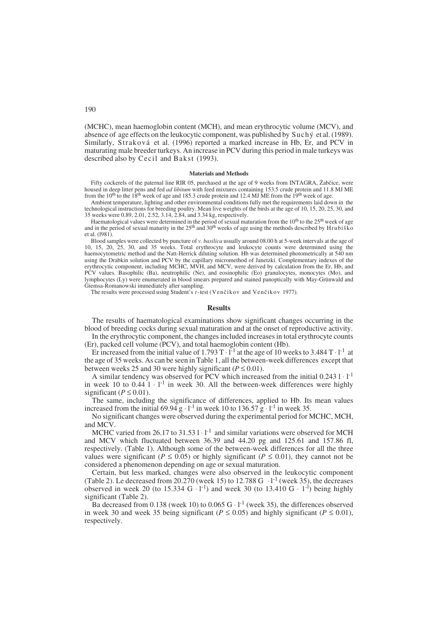(MCHC), mean haemoglobin content (MCH), and mean erythrocytic volume (MCV), and absence of age effects on the leukocytic component, was published by Suchý et al. (1989). Similarly, Straková et al. (1996) reported a marked increase in Hb, Er, and PCV in maturating male breeder turkeys. An increase in PCV during this period in male turkeys was described also by Cecil and Bakst (1993).

#### **Materials and Methods**

Fifty cockerels of the paternal line RIR 05, purchased at the age of 9 weeks from INTAGRA, Žabčice, were housed in deep litter pens and fed *ad libitum* with feed mixtures containing 153.5 crude protein and 11.8 MJ ME from the  $10<sup>th</sup>$  to the 18<sup>th</sup> week of age and 185.3 crude protein and 12.4 MJ ME from the  $19<sup>th</sup>$  week of age.

Ambient temperature, lighting and other environmental conditions fully met the requirements laid down in the technological instructions for breeding poultry. Mean live weights of the birds at the age of 10, 15, 20, 25, 30, and 35 weeks were 0.89, 2.01, 2.52, 3.14, 2.84, and 3.34 kg, respectively.

Haematological values were determined in the period of sexual maturation from the  $10<sup>th</sup>$  to the  $25<sup>th</sup>$  week of age and in the period of sexual maturity in the 25<sup>th</sup> and 30<sup>th</sup> weeks of age using the methods described by Hrubiško et al. (l981).

Blood samples were collected by puncture of *v. basilica* usually around 08.00 h at 5-week intervals at the age of 10, 15, 20, 25, 30, and 35 weeks. Total erythrocyte and leukocyte counts were determined using the haemocytometric method and the Natt-Herrick diluting solution. Hb was determined photometrically at 540 nm using the Drabkin solution and PCV by the capillary micromethod of Janetzki. Complementary indexes of the erythrocytic component, including MCHC, MVH, and MCV, were derived by calculation from the Er, Hb, and PCV values. Basophilic (Ba), neutrophilic (Ne), and eosinophilic (Eo) granulocytes, monocytes (Mo), and lymphocytes (Ly) were enumerated in blood smears prepared and stained panoptically with May-Grünwald and Giemsa-Romanowski immediately after sampling.

The results were processed using Student's *t*-test (Venčikov and Venčikov 1977).

## **Results**

The results of haematological examinations show significant changes occurring in the blood of breeding cocks during sexual maturation and at the onset of reproductive activity.

In the erythrocytic component, the changes included increases in total erythrocyte counts (Er), packed cell volume (PCV), and total haemoglobin content (Hb).

Er increased from the initial value of  $1.793 \text{ T} \cdot \text{I}^{-1}$  at the age of 10 weeks to 3.484 T  $\cdot$  l<sup>-1</sup> at the age of 35 weeks. As can be seen in Table 1, all the between-week differences except that between weeks 25 and 30 were highly significant ( $P \le 0.01$ ).

A similar tendency was observed for PCV which increased from the initial 0.243 l⋅1<sup>-1</sup> in week 10 to  $0.44 \cdot 1 \cdot 1^{-1}$  in week 30. All the between-week differences were highly significant ( $P \le 0.01$ ).

The same, including the significance of differences, applied to Hb. Its mean values increased from the initial 69.94  $g \cdot 1^{-1}$  in week 10 to 136.57  $g \cdot 1^{-1}$  in week 35.

No significant changes were observed during the experimental period for MCHC, MCH, and MCV.

MCHC varied from 26.17 to 31.53  $l \cdot l^{-1}$  and similar variations were observed for MCH and MCV which fluctuated between 36.39 and 44.20 pg and 125.61 and 157.86 fl, respectively. (Table 1). Although some of the between-week differences for all the three values were significant ( $P \le 0.05$ ) or highly significant ( $P \le 0.01$ ), they cannot not be considered a phenomenon depending on age or sexual maturation.

Certain, but less marked, changes were also observed in the leukocytic component (Table 2). Le decreased from 20.270 (week 15) to 12.788 G  $\cdot$  l<sup>-1</sup> (week 35), the decreases observed in week 20 (to 15.334 G  $\cdot$  l<sup>-1</sup>) and week 30 (to 13.410 G  $\cdot$  l<sup>-1</sup>) being highly significant (Table 2).

Ba decreased from 0.138 (week 10) to 0.065 G  $\cdot$  1<sup>-1</sup> (week 35), the differences observed in week 30 and week 35 being significant ( $P \le 0.05$ ) and highly significant ( $P \le 0.01$ ), respectively.

190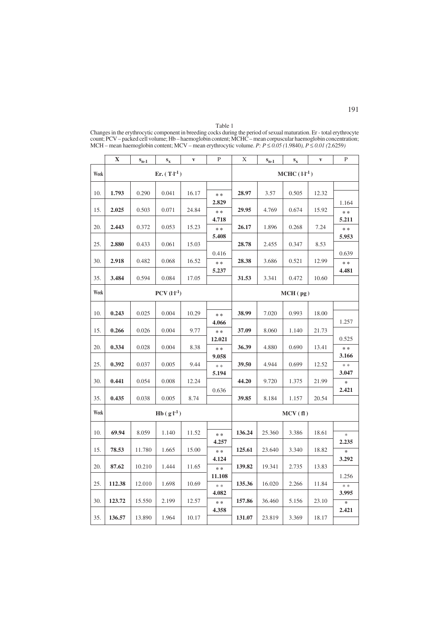|      | $\mathbf X$ | $S_{n-1}$                 | $\mathbf{s}_{\mathbf{x}}$ | $\mathbf{V}$ | $\mathbf{P}$       | X      | $S_{n-1}$     | $\mathbf{s}_{\mathbf{x}}$ | $\mathbf{v}$ | $\mathbf{P}$                |  |
|------|-------------|---------------------------|---------------------------|--------------|--------------------|--------|---------------|---------------------------|--------------|-----------------------------|--|
| Week |             | $Er. (T·l-1)$             |                           |              |                    |        | $MCHC (11-1)$ |                           |              |                             |  |
| 10.  | 1.793       | 0.290                     | 0.041                     | 16.17        | * *                | 28.97  | 3.57          | 0.505                     | 12.32        |                             |  |
|      |             |                           |                           |              | 2.829              |        |               |                           |              | 1.164                       |  |
| 15.  | 2.025       | 0.503                     | 0.071                     | 24.84        | * *<br>4.718       | 29.95  | 4.769         | 0.674                     | 15.92        | $* *$<br>5.211              |  |
| 20.  | 2.443       | 0.372                     | 0.053                     | 15.23        | $**$               | 26.17  | 1.896         | 0.268                     | 7.24         | $* *$                       |  |
| 25.  | 2.880       | 0.433                     | 0.061                     | 15.03        | 5.408              | 28.78  | 2.455         | 0.347                     | 8.53         | 5.953                       |  |
| 30.  | 2.918       | 0.482                     | 0.068                     | 16.52        | 0.416<br>$**$      | 28.38  | 3.686         | 0.521                     | 12.99        | 0.639<br>* *                |  |
|      |             |                           |                           |              | 5.237              |        |               |                           |              | 4.481                       |  |
| 35.  | 3.484       | 0.594                     | 0.084                     | 17.05        |                    | 31.53  | 3.341         | 0.472                     | 10.60        |                             |  |
| Week |             | $PCV$ $(l·l-1)$           |                           |              |                    |        | MCH(pg)       |                           |              |                             |  |
| 10.  | 0.243       | 0.025                     | 0.004                     | 10.29        | * *                | 38.99  | 7.020         | 0.993                     | 18.00        |                             |  |
| 15.  | 0.266       | 0.026                     | 0.004                     | 9.77         | 4.066<br>* *       | 37.09  | 8.060         | 1.140                     | 21.73        | 1.257                       |  |
|      |             |                           |                           |              | 12.021             |        |               |                           |              | 0.525                       |  |
| 20.  | 0.334       | 0.028                     | 0.004                     | 8.38         | $**$<br>9.058      | 36.39  | 4.880         | 0.690                     | 13.41        | * *<br>3.166                |  |
| 25.  | 0.392       | 0.037                     | 0.005                     | 9.44         | $\ast$ $\ast$      | 39.50  | 4.944         | 0.699                     | 12.52        | $\ast\,*$                   |  |
| 30.  | 0.441       | 0.054                     | 0.008                     | 12.24        | 5.194              | 44.20  | 9.720         | 1.375                     | 21.99        | 3.047<br>$\approx$          |  |
| 35.  | 0.435       | 0.038                     | 0.005                     | 8.74         | 0.636              | 39.85  | 8.184         | 1.157                     | 20.54        | 2.421                       |  |
| Week |             | $Hb$ (g·l <sup>-1</sup> ) |                           |              |                    |        | MCV(f1)       |                           |              |                             |  |
|      |             |                           |                           |              |                    |        |               |                           |              |                             |  |
| 10.  | 69.94       | 8.059                     | 1.140                     | 11.52        | $**$               | 136.24 | 25.360        | 3.386                     | 18.61        | $\frac{d\mathbf{r}}{dt}$    |  |
| 15.  | 78.53       | 11.780                    | 1.665                     | 15.00        | 4.257<br>* *       | 125.61 | 23.640        | 3.340                     | 18.82        | 2.235<br>$\star$            |  |
| 20.  | 87.62       | 10.210                    | 1.444                     | 11.65        | 4.124<br>$**$      | 139.82 | 19.341        | 2.735                     | 13.83        | 3.292                       |  |
|      |             |                           |                           |              | 11.108             |        |               |                           |              | 1.256                       |  |
| 25.  | 112.38      | 12.010                    | 1.698                     | 10.69        | $\gg \gg$<br>4.082 | 135.36 | 16.020        | 2.266                     | 11.84        | $\gg \,$ $\,$ $\,$<br>3.995 |  |
| 30.  | 123.72      | 15.550                    | 2.199                     | 12.57        | $\ast$ $\ast$      | 157.86 | 36.460        | 5.156                     | 23.10        | $\star$                     |  |
| 35.  | 136.57      | 13.890                    | 1.964                     | 10.17        | 4.358              | 131.07 | 23.819        | 3.369                     | 18.17        | 2.421                       |  |

Table 1 Changes in the erythrocytic component in breeding cocks during the period of sexual maturation. Er - total erythrocyte count; PCV – packed cell volume; Hb – haemoglobin content; MCHC – mean corpuscular haemoglobin concentration; MCH – mean haemoglobin content; MCV – mean erythrocytic volume. *P: P ≤ 0.05 (*1.9840*), P ≤ 0.01 (*2.6259*)*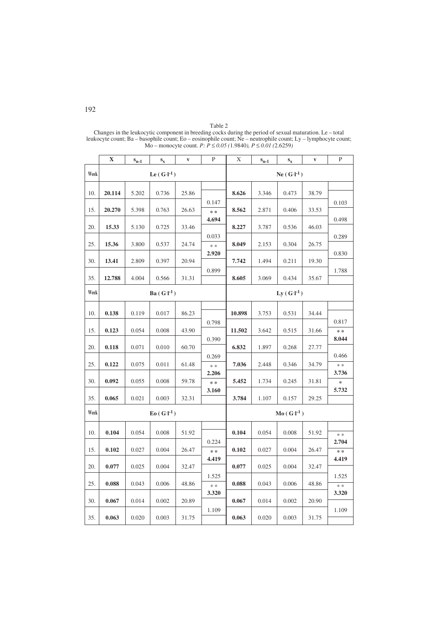|      | X      | $S_{n-1}$             | $S_{\rm X}$ | $\mathbf{V}$ | $\mathbf{P}$   | X      | $S_{n-1}$      | $S_{X}$ | $\mathbf{V}$ | $\mathbf{P}$       |  |  |
|------|--------|-----------------------|-------------|--------------|----------------|--------|----------------|---------|--------------|--------------------|--|--|
| Week |        | Le $(G1$ <sup>1</sup> |             |              |                |        | $Ne(G-I^{-1})$ |         |              |                    |  |  |
|      | 20.114 | 5.202                 |             | 25.86        |                | 8.626  | 3.346          |         | 38.79        |                    |  |  |
| 10.  |        |                       | 0.736       |              | 0.147          |        |                | 0.473   |              | 0.103              |  |  |
| 15.  | 20.270 | 5.398                 | 0.763       | 26.63        | $**$           | 8.562  | 2.871          | 0.406   | 33.53        |                    |  |  |
| 20.  | 15.33  | 5.130                 | 0.725       | 33.46        | 4.694          | 8.227  | 3.787          | 0.536   | 46.03        | 0.498              |  |  |
| 25.  | 15.36  | 3.800                 | 0.537       | 24.74        | 0.033<br>$* *$ | 8.049  | 2.153          | 0.304   | 26.75        | 0.289              |  |  |
| 30.  | 13.41  | 2.809                 | 0.397       | 20.94        | 2.920          | 7.742  | 1.494          | 0.211   | 19.30        | 0.830              |  |  |
|      |        |                       |             |              | 0.899          |        |                |         |              | 1.788              |  |  |
| 35.  | 12.788 | 4.004                 | 0.566       | 31.31        |                | 8.605  | 3.069          | 0.434   | 35.67        |                    |  |  |
| Week |        | $Ba(G-I^{-1})$        |             |              |                |        | $Ly(G I^{-1})$ |         |              |                    |  |  |
| 10.  | 0.138  | 0.119                 | 0.017       | 86.23        |                | 10.898 | 3.753          | 0.531   | 34.44        |                    |  |  |
| 15.  | 0.123  | 0.054                 | 0.008       | 43.90        | 0.798          | 11.502 | 3.642          |         |              | 0.817              |  |  |
|      |        |                       |             |              | 0.390          |        |                | 0.515   | 31.66        | * *<br>8.044       |  |  |
| 20.  | 0.118  | 0.071                 | 0.010       | 60.70        |                | 6.832  | 1.897          | 0.268   | 27.77        | 0.466              |  |  |
| 25.  | 0.122  | 0.075                 | 0.011       | 61.48        | 0.269<br>$* *$ | 7.036  | 2.448          | 0.346   | 34.79        | $* *$              |  |  |
| 30.  | 0.092  | 0.055                 | 0.008       | 59.78        | 2.206<br>* *   | 5.452  | 1.734          | 0.245   | 31.81        | 3.736<br>$\approx$ |  |  |
| 35.  | 0.065  | 0.021                 | 0.003       | 32.31        | 3.160          | 3.784  | 1.107          | 0.157   | 29.25        | 5.732              |  |  |
|      |        |                       |             |              |                |        |                |         |              |                    |  |  |
| Week |        | $E_0(G·l-1)$          |             |              |                |        | $Mo(G·l-1)$    |         |              |                    |  |  |
| 10.  | 0.104  | 0.054                 | 0.008       | 51.92        |                | 0.104  | 0.054          | 0.008   | 51.92        | * *                |  |  |
| 15.  | 0.102  | 0.027                 | 0.004       | 26.47        | 0.224<br>$* *$ | 0.102  | 0.027          | 0.004   | 26.47        | 2.704<br>* *       |  |  |
| 20.  | 0.077  | 0.025                 | 0.004       | 32.47        | 4.419          | 0.077  | 0.025          | 0.004   | 32.47        | 4.419              |  |  |
|      |        |                       |             |              | 1.525          |        |                |         |              | 1.525              |  |  |
| 25.  | 0.088  | 0.043                 | 0.006       | 48.86        | $\ast$ $\ast$  | 0.088  | 0.043          | 0.006   | 48.86        | $\ast$<br>3.320    |  |  |
| 30.  | 0.067  | 0.014                 | 0.002       | 20.89        | 3.320          | 0.067  | 0.014          | 0.002   | 20.90        |                    |  |  |
| 35.  | 0.063  | 0.020                 | 0.003       | 31.75        | 1.109          | 0.063  | 0.020          | 0.003   | 31.75        | 1.109              |  |  |

Table 2 Changes in the leukocytic component in breeding cocks during the period of sexual maturation. Le – total leukocyte count; Ba – basophile count; Eo – eosinophile count; Ne – neutrophile count; Ly – lymphocyte count; Mo – monocyte count. *P: P ≤ 0.05 (*1.9840*), P ≤ 0.01 (*2.6259*)*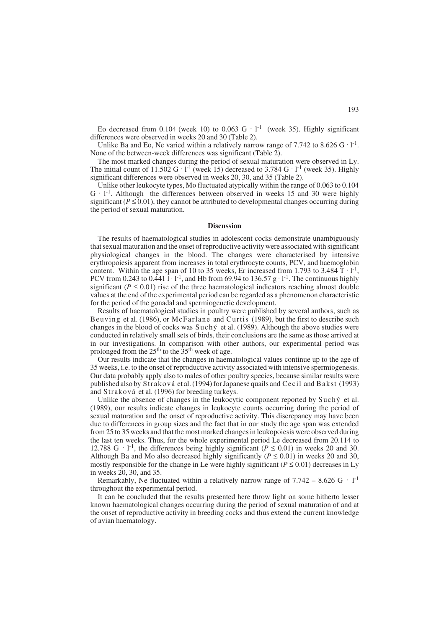Eo decreased from 0.104 (week 10) to 0.063 G  $\cdot$  1<sup>-1</sup> (week 35). Highly significant differences were observed in weeks 20 and 30 (Table 2).

Unlike Ba and Eo, Ne varied within a relatively narrow range of 7.742 to 8.626 G  $\cdot$  1<sup>-1</sup>. None of the between-week differences was significant (Table 2).

The most marked changes during the period of sexual maturation were observed in Ly. The initial count of 11.502 G · l<sup>-1</sup> (week 15) decreased to 3.784 G · l<sup>-1</sup> (week 35). Highly significant differences were observed in weeks 20, 30, and 35 (Table 2).

Unlike other leukocyte types, Mo fluctuated atypically within the range of 0.063 to 0.104  $G \cdot 1^{-1}$ . Although the differences between observed in weeks 15 and 30 were highly significant ( $P \le 0.01$ ), they cannot be attributed to developmental changes occurring during the period of sexual maturation.

### **Discussion**

The results of haematological studies in adolescent cocks demonstrate unambiguously that sexual maturation and the onset of reproductive activity were associated with significant physiological changes in the blood. The changes were characterised by intensive erythropoiesis apparent from increases in total erythrocyte counts, PCV, and haemoglobin content. Within the age span of 10 to 35 weeks, Er increased from 1.793 to 3.484  $T \cdot 1^{-1}$ , PCV from 0.243 to 0.441  $\bar{l}$  · l<sup>-1</sup>, and Hb from 69.94 to 136.57  $g \cdot l^{-1}$ . The continuous highly significant ( $P \le 0.01$ ) rise of the three haematological indicators reaching almost double values at the end of the experimental period can be regarded as a phenomenon characteristic for the period of the gonadal and spermiogenetic development.

Results of haematological studies in poultry were published by several authors, such as Beuving et al. (1986), or McFarlane and Curtis (1989), but the first to describe such changes in the blood of cocks was Suchý et al. (1989). Although the above studies were conducted in relatively small sets of birds, their conclusions are the same as those arrived at in our investigations. In comparison with other authors, our experimental period was prolonged from the  $25<sup>th</sup>$  to the  $35<sup>th</sup>$  week of age.

Our results indicate that the changes in haematological values continue up to the age of 35 weeks, i.e. to the onset of reproductive activity associated with intensive spermiogenesis. Our data probably apply also to males of other poultry species, because similar results were published also by Straková et al. (1994) for Japanese quails and Cecil and Bakst (1993) and Straková et al. (1996) for breeding turkeys.

Unlike the absence of changes in the leukocytic component reported by  $\text{Such } \circ$  et al. (1989), our results indicate changes in leukocyte counts occurring during the period of sexual maturation and the onset of reproductive activity. This discrepancy may have been due to differences in group sizes and the fact that in our study the age span was extended from 25 to 35 weeks and that the most marked changes in leukopoiesis were observed during the last ten weeks. Thus, for the whole experimental period Le decreased from 20.114 to 12.788 G · l<sup>-1</sup>, the differences being highly significant ( $P \le 0.01$ ) in weeks 20 and 30. Although Ba and Mo also decreased highly significantly ( $P \le 0.01$ ) in weeks 20 and 30, mostly responsible for the change in Le were highly significant ( $P \le 0.01$ ) decreases in Ly in weeks 20, 30, and 35.

Remarkably, Ne fluctuated within a relatively narrow range of  $7.742 - 8.626$  G  $\cdot$  1<sup>-1</sup> throughout the experimental period.

It can be concluded that the results presented here throw light on some hitherto lesser known haematological changes occurring during the period of sexual maturation of and at the onset of reproductive activity in breeding cocks and thus extend the current knowledge of avian haematology.